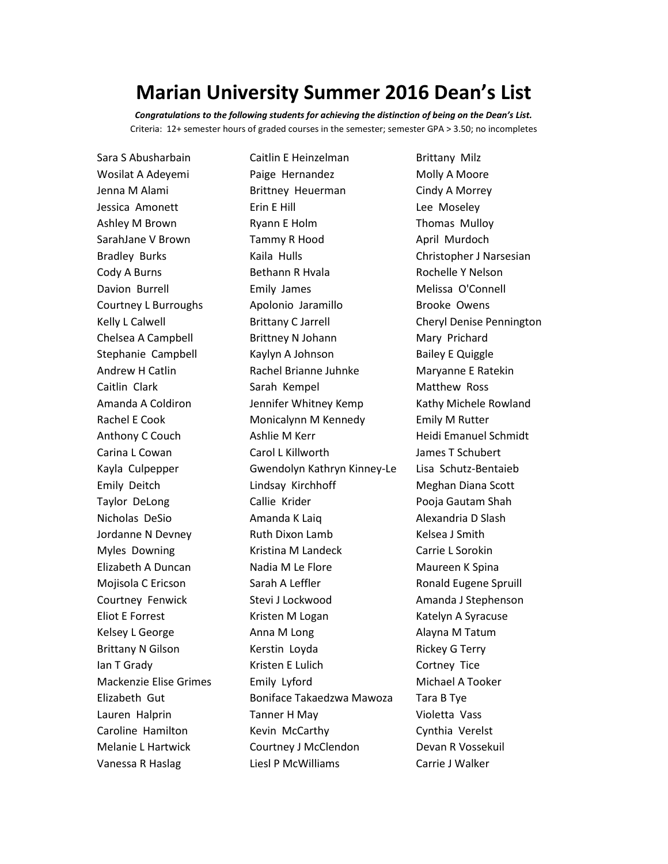## **Marian University Summer 2016 Dean's List**

*Congratulations to the following students for achieving the distinction of being on the Dean's List.* Criteria: 12+ semester hours of graded courses in the semester; semester GPA > 3.50; no incompletes

Sara S Abusharbain Caitlin E Heinzelman Brittany Milz Wosilat A Adeyemi **Paige Hernandez** Molly A Moore Jenna M Alami **Brittney Heuerman** Cindy A Morrey Jessica Amonett **Example Example Example 2** Erin E Hill **Lee Moseley** Ashley M Brown **Ryann E Holm** Thomas Mulloy SarahJane V Brown Tammy R Hood April Murdoch Bradley Burks **Kaila Hulls** Kaila Hulls Christopher J Narsesian Cody A Burns **Bethann R Hvala** Rochelle Y Nelson Davion Burrell **Emily James** Melissa O'Connell Courtney L Burroughs Apolonio Jaramillo Brooke Owens Kelly L Calwell **Brittany C Jarrell** Cheryl Denise Pennington Chelsea A Campbell Brittney N Johann Mary Prichard Stephanie Campbell Kaylyn A Johnson Bailey E Quiggle Andrew H Catlin **Rachel Brianne Juhnke** Maryanne E Ratekin Caitlin Clark **Sarah Kempel** Matthew Ross Amanda A Coldiron **Jennifer Whitney Kemp** Kathy Michele Rowland Rachel E Cook **Monicalynn M Kennedy** Emily M Rutter Anthony C Couch Ashlie M Kerr Heidi Emanuel Schmidt Carina L Cowan Carol L Killworth James T Schubert Kayla Culpepper Gwendolyn Kathryn Kinney-Le Lisa Schutz-Bentaieb Emily Deitch Lindsay Kirchhoff Meghan Diana Scott Taylor DeLong **Callie Krider** Pooja Gautam Shah Nicholas DeSio Amanda K Laig Alexandria D Slash Jordanne N Devney **Ruth Dixon Lamb** Kelsea J Smith Myles Downing **Kristina M Landeck** Carrie L Sorokin Elizabeth A Duncan Nadia M Le Flore Maureen K Spina Mojisola C Ericson Sarah A Leffler Spruill Bugene Spruill Courtney Fenwick Stevi J Lockwood Amanda J Stephenson Eliot E Forrest **Kristen M Logan** Katelyn A Syracuse Kelsey L George **Anna M** Long **Alayna M Tatum** Brittany N Gilson **Kerstin Loyda** Rickey G Terry Ian T Grady **Internal Contract Contract Contract Cortney Tice** Mackenzie Elise Grimes Emily Lyford Michael A Tooker Elizabeth Gut Boniface Takaedzwa Mawoza Tara B Tye Lauren Halprin Tanner H May Violetta Vass Caroline Hamilton Kevin McCarthy Cynthia Verelst Melanie L Hartwick Courtney J McClendon Devan R Vossekuil Vanessa R Haslag Liesl P McWilliams Carrie J Walker